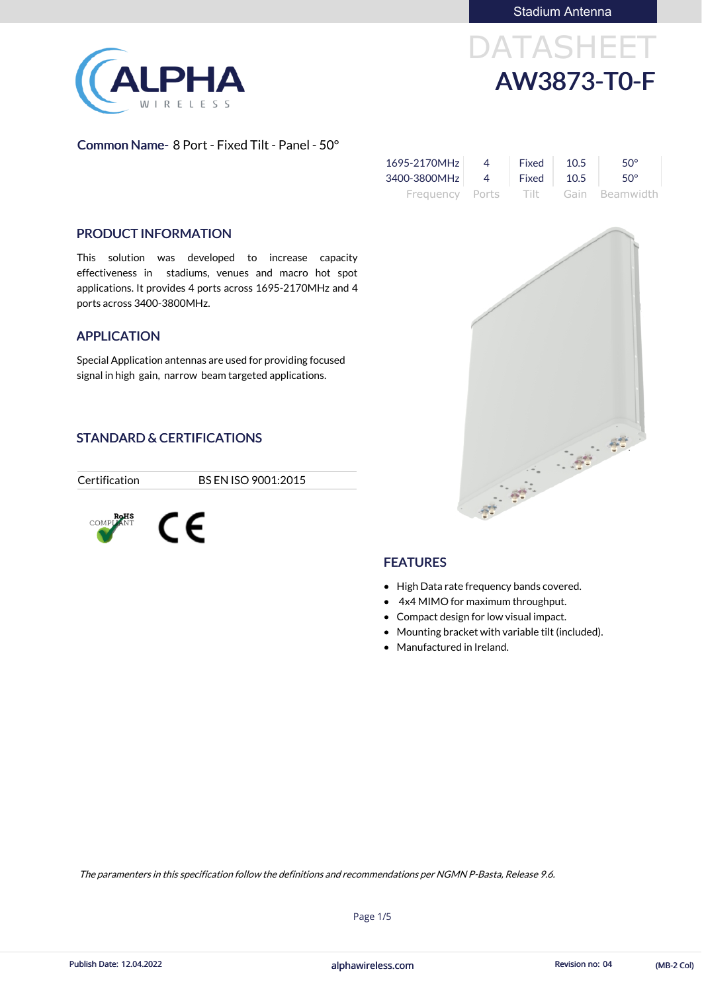

DATASHEET AW3873-T0-F

#### Common Name- 8 Port - Fixed Tilt - Panel - 50°

| $1695 - 2170 MHz$ 4       | <b>Fixed</b> 10.5 | $50^\circ$                          |
|---------------------------|-------------------|-------------------------------------|
| 3400-3800MHz 4 Fixed 10.5 |                   | $\sim 50^{\circ}$                   |
|                           |                   | Frequency Ports Tilt Gain Beamwidth |

#### PRODUCT INFORMATION

This solution was developed to increase capacity effectiveness in stadiums, venues and macro hot spot applications. It provides 4 ports across 1695-2170MHz and 4 ports across 3400-3800MHz.

- High Data rate frequency bands covered.
- 4x4 MIMO for maximum throughput.
- Compact design for low visual impact.
- Mounting bracket with variable tilt (included).

 $\frac{28}{3}$ 

• Manufactured in Ireland.

#### APPLICATION

Special Application antennas are used for providing focused signal in high gain, narrow beam targeted applications.

### STANDARD & CERTIFICATIONS

Certification BS EN ISO 9001:2015



# **FEATURES**

Page 1/5

The paramenters in this specification follow the definitions and recommendations per NGMN P-Basta, Release 9.6.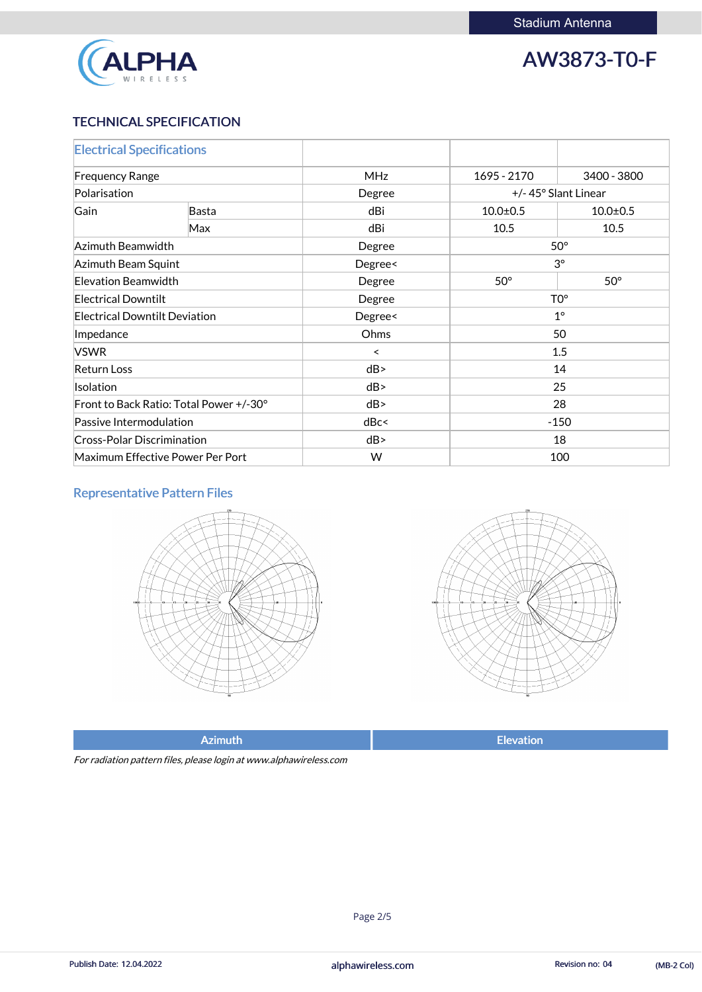

## TECHNICAL SPECIFICATION

| <b>Electrical Specifications</b>        |       |            |                 |                     |  |
|-----------------------------------------|-------|------------|-----------------|---------------------|--|
| <b>Frequency Range</b>                  |       | <b>MHz</b> | 1695 - 2170     | 3400 - 3800         |  |
| Polarisation                            |       | Degree     |                 | +/-45° Slant Linear |  |
| Gain                                    | Basta | dBi        | $10.0 \pm 0.5$  | $10.0 + 0.5$        |  |
|                                         | Max   | dBi        | 10.5            | 10.5                |  |
| Azimuth Beamwidth                       |       | Degree     | $50^\circ$      |                     |  |
| Azimuth Beam Squint                     |       | Degree<    | $3^\circ$       |                     |  |
| Elevation Beamwidth                     |       | Degree     | $50^\circ$      | $50^\circ$          |  |
| <b>Electrical Downtilt</b>              |       | Degree     | TO <sup>o</sup> |                     |  |
| <b>Electrical Downtilt Deviation</b>    |       | Degree<    | $1^\circ$       |                     |  |
| Impedance                               |       | Ohms       | 50              |                     |  |
| <b>VSWR</b>                             |       | $\prec$    | 1.5             |                     |  |
| <b>Return Loss</b>                      |       | dB         | 14              |                     |  |
| Isolation                               |       | dB         | 25              |                     |  |
| Front to Back Ratio: Total Power +/-30° |       | dB         | 28              |                     |  |
| Passive Intermodulation                 |       | dBc<       | $-150$          |                     |  |
| <b>Cross-Polar Discrimination</b>       |       | dB         | 18              |                     |  |
| Maximum Effective Power Per Port        |       | W          |                 | 100                 |  |

# Representative Pattern Files





For radiation pattern files, please login at www.alphawireless.com

#### alphawireless.com

Publish Date: 12.04.2022 **Revision no: 04** Collection 2012 Collection 2014 (MB-2 Col)

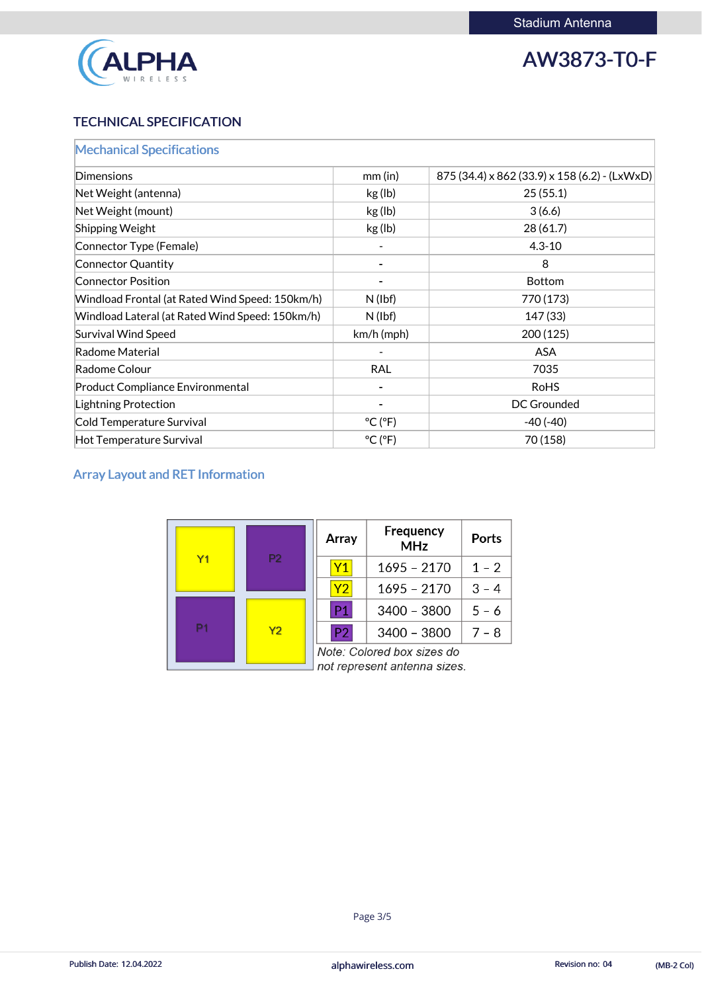

# TECHNICAL SPECIFICATION

| <b>Mechanical Specifications</b>                |                              |                                               |
|-------------------------------------------------|------------------------------|-----------------------------------------------|
| Dimensions                                      | $mm$ (in)                    | 875 (34.4) x 862 (33.9) x 158 (6.2) - (LxWxD) |
| Net Weight (antenna)                            | kg (lb)                      | 25(55.1)                                      |
| Net Weight (mount)                              | kg (lb)                      | 3(6.6)                                        |
| <b>Shipping Weight</b>                          | kg (lb)                      | 28(61.7)                                      |
| Connector Type (Female)                         |                              | $4.3 - 10$                                    |
| Connector Quantity                              |                              | 8                                             |
| <b>Connector Position</b>                       |                              | <b>Bottom</b>                                 |
| Windload Frontal (at Rated Wind Speed: 150km/h) | $N$ (lbf)                    | 770 (173)                                     |
| Windload Lateral (at Rated Wind Speed: 150km/h) | $N$ (lbf)                    | 147 (33)                                      |
| <b>Survival Wind Speed</b>                      | $km/h$ (mph)                 | 200(125)                                      |
| Radome Material                                 |                              | <b>ASA</b>                                    |
| Radome Colour                                   | <b>RAL</b>                   | 7035                                          |
| <b>Product Compliance Environmental</b>         |                              | <b>RoHS</b>                                   |
| Lightning Protection                            |                              | <b>DC Grounded</b>                            |
| Cold Temperature Survival                       | $^{\circ}$ C ( $^{\circ}$ F) | $-40(-40)$                                    |
| Hot Temperature Survival                        | $^{\circ}$ C ( $^{\circ}$ F) | 70 (158)                                      |

# Array Layout and RET Information

|  | Array                                                      | Frequency<br><b>MHz</b> | <b>Ports</b>  |         |
|--|------------------------------------------------------------|-------------------------|---------------|---------|
|  | P <sub>2</sub><br>Y <sub>1</sub>                           | Y1                      | $1695 - 2170$ | $1 - 2$ |
|  |                                                            | Y2                      | $1695 - 2170$ | $3 - 4$ |
|  | Y <sub>2</sub>                                             | P <sub>1</sub>          | 3400 - 3800   | $5 - 6$ |
|  |                                                            | P2                      | $3400 - 3800$ | $7 - 8$ |
|  | Note: Colored box sizes do<br>not represent antenna sizes. |                         |               |         |

#### alphawireless.com

Publish Date: 12.04.2022 **Revision no: 04** Collection 2012 Collection 2014 (MB-2 Col)

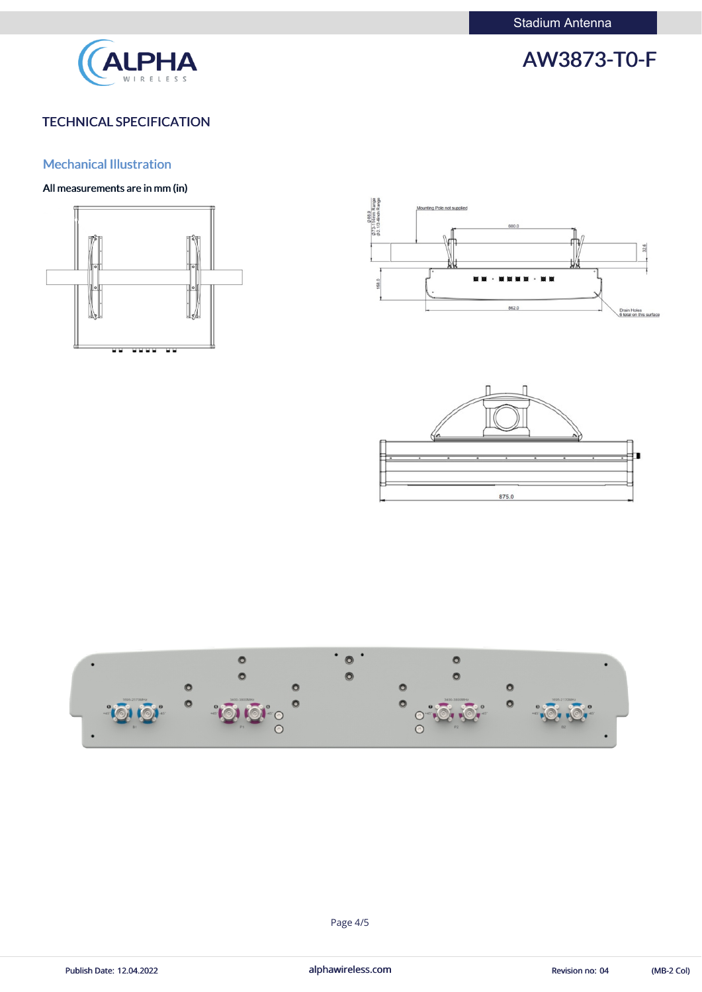

# TECHNICAL SPECIFICATION

### Mechanical Illustration

### All measurements are in mm (in)













Publish Date: 12.04.2022 **alphawireless.com** and alphawireless.com Revision no: 04 (MB-2 Col)